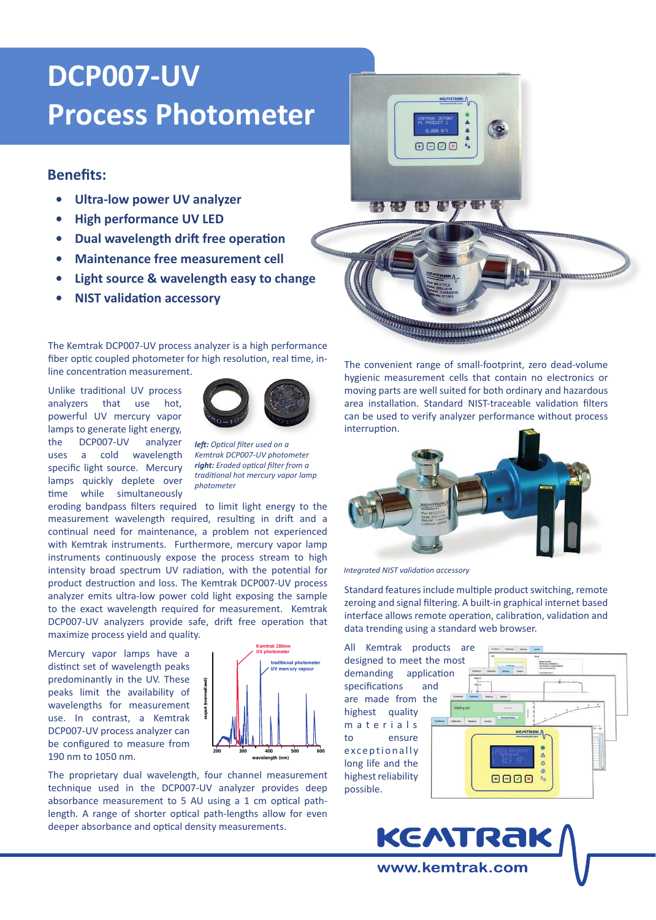# **DCP007-UV Process Photometer**

## **Benefits:**

- **• Ultra-low power UV analyzer**
- **• High performance UV LED**
- **• Dual wavelength drift free operation**
- **• Maintenance free measurement cell**
- **• Light source & wavelength easy to change**
- **• NIST validation accessory**

The Kemtrak DCP007-UV process analyzer is a high performance fiber optic coupled photometer for high resolution, real time, inline concentration measurement.

Unlike traditional UV process analyzers that use hot, powerful UV mercury vapor lamps to generate light energy, the DCP007-UV analyzer uses a cold wavelength specific light source. Mercury lamps quickly deplete over time while simultaneously



*left: Optical filter used on a Kemtrak DCP007-UV photometer right: Eroded optical filter from a traditional hot mercury vapor lamp photometer*

eroding bandpass filters required to limit light energy to the measurement wavelength required, resulting in drift and a continual need for maintenance, a problem not experienced with Kemtrak instruments. Furthermore, mercury vapor lamp instruments continuously expose the process stream to high intensity broad spectrum UV radiation, with the potential for product destruction and loss. The Kemtrak DCP007-UV process analyzer emits ultra-low power cold light exposing the sample to the exact wavelength required for measurement. Kemtrak DCP007-UV analyzers provide safe, drift free operation that maximize process yield and quality.

Mercury vapor lamps have a distinct set of wavelength peaks predominantly in the UV. These peaks limit the availability of wavelengths for measurement use. In contrast, a Kemtrak DCP007-UV process analyzer can be configured to measure from 190 nm to 1050 nm.



The proprietary dual wavelength, four channel measurement technique used in the DCP007-UV analyzer provides deep absorbance measurement to 5 AU using a 1 cm optical pathlength. A range of shorter optical path-lengths allow for even deeper absorbance and optical density measurements.



<u> TERRA DE COMPOSITORES DE COM</u>

The convenient range of small-footprint, zero dead-volume hygienic measurement cells that contain no electronics or moving parts are well suited for both ordinary and hazardous area installation. Standard NIST-traceable validation filters can be used to verify analyzer performance without process interruption.

ammm



*Integrated NIST validation accessory* 

Standard features include multiple product switching, remote zeroing and signal filtering. A built-in graphical internet based interface allows remote operation, calibration, validation and data trending using a standard web browser.

**KEATRAK** 

www.kemtrak.com

All Kemtrak products are designed to meet the most demanding application specifications and are made from the highest quality m a t e r i a l s to ensure exceptionally long life and the highest reliability possible.